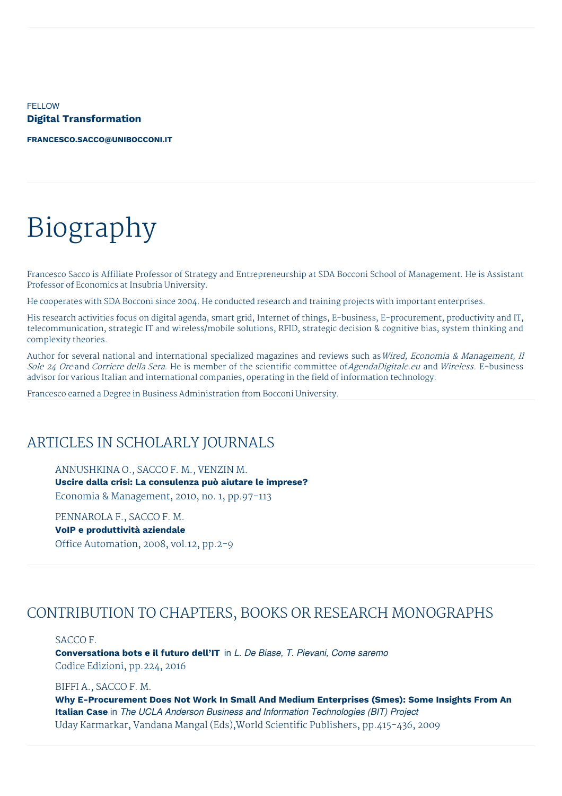**FELLOW Digital Transformation**

**[FRANCESCO.SACCO@UNIBOCCONI.IT](mailto:francesco.sacco@unibocconi.it)**

# Biography

Francesco Sacco is Affiliate Professor of Strategy and Entrepreneurship at SDA Bocconi School of Management. He is Assistant Professor of Economics at Insubria University.

He cooperates with SDA Bocconi since 2004. He conducted research and training projects with important enterprises.

His research activities focus on digital agenda, smart grid, Internet of things, E-business, E-procurement, productivity and IT, telecommunication, strategic IT and wireless/mobile solutions, RFID, strategic decision & cognitive bias, system thinking and complexity theories.

Author for several national and international specialized magazines and reviews such as Wired, Economia & Management, Il Sole 24 Ore and Corriere della Sera. He is member of the scientific committee of AgendaDigitale.eu and Wireless. E-business advisor for various Italian and international companies, operating in the field of information technology.

Francesco earned a Degree in Business Administration from Bocconi University.

## ARTICLES IN SCHOLARLY JOURNALS

ANNUSHKINA O., SACCO F. M., VENZIN M. **Uscire dalla crisi: La consulenza può aiutare le imprese?** Economia & Management, 2010, no. 1, pp.97-113

PENNAROLA F., SACCO F. M. **VoIP e produttività aziendale** Office Automation, 2008, vol.12, pp.2-9

### CONTRIBUTION TO CHAPTERS, BOOKS OR RESEARCH MONOGRAPHS

#### SACCO F.

**Conversationa bots e il futuro dell'IT** in *L. De Biase, T. Pievani, Come saremo* Codice Edizioni, pp.224, 2016

#### BIFFI A., SACCO F. M.

**Why E-Procurement Does Not Work In Small And Medium Enterprises (Smes): Some Insights From An Italian Case** in *The UCLA Anderson Business and Information Technologies (BIT) Project* Uday Karmarkar, Vandana Mangal (Eds),World Scientific Publishers, pp.415-436, 2009